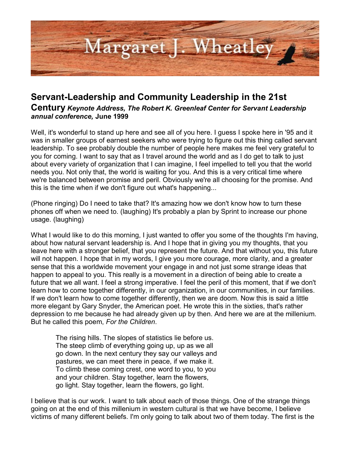

## **Servant-Leadership and Community Leadership in the 21st**

**Century** *Keynote Address, The Robert K. Greenleaf Center for Servant Leadership annual conference,* **June 1999**

Well, it's wonderful to stand up here and see all of you here. I guess I spoke here in '95 and it was in smaller groups of earnest seekers who were trying to figure out this thing called servant leadership. To see probably double the number of people here makes me feel very grateful to you for coming. I want to say that as I travel around the world and as I do get to talk to just about every variety of organization that I can imagine, I feel impelled to tell you that the world needs you. Not only that, the world is waiting for you. And this is a very critical time where we're balanced between promise and peril. Obviously we're all choosing for the promise. And this is the time when if we don't figure out what's happening...

(Phone ringing) Do I need to take that? It's amazing how we don't know how to turn these phones off when we need to. (laughing) It's probably a plan by Sprint to increase our phone usage. (laughing)

What I would like to do this morning, I just wanted to offer you some of the thoughts I'm having, about how natural servant leadership is. And I hope that in giving you my thoughts, that you leave here with a stronger belief, that you represent the future. And that without you, this future will not happen. I hope that in my words, I give you more courage, more clarity, and a greater sense that this a worldwide movement your engage in and not just some strange ideas that happen to appeal to you. This really is a movement in a direction of being able to create a future that we all want. I feel a strong imperative. I feel the peril of this moment, that if we don't learn how to come together differently, in our organization, in our communities, in our families. If we don't learn how to come together differently, then we are doom. Now this is said a little more elegant by Gary Snyder, the American poet. He wrote this in the sixties, that's rather depression to me because he had already given up by then. And here we are at the millenium. But he called this poem, *For the Children*.

 The rising hills. The slopes of statistics lie before us. The steep climb of everything going up, up as we all go down. In the next century they say our valleys and pastures, we can meet there in peace, if we make it. To climb these coming crest, one word to you, to you and your children. Stay together, learn the flowers, go light. Stay together, learn the flowers, go light.

I believe that is our work. I want to talk about each of those things. One of the strange things going on at the end of this millenium in western cultural is that we have become, I believe victims of many different beliefs. I'm only going to talk about two of them today. The first is the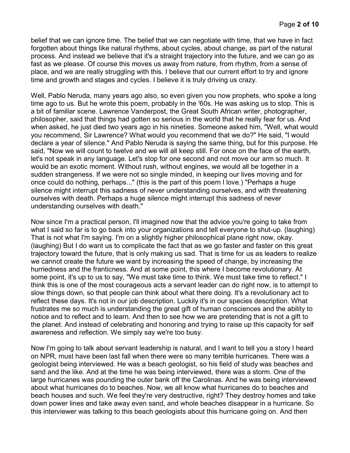belief that we can ignore time. The belief that we can negotiate with time, that we have in fact forgotten about things like natural rhythms, about cycles, about change, as part of the natural process. And instead we believe that it's a straight trajectory into the future, and we can go as fast as we please. Of course this moves us away from nature, from rhythm, from a sense of place, and we are really struggling with this. I believe that our current effort to try and ignore time and growth and stages and cycles. I believe it is truly driving us crazy.

Well, Pablo Neruda, many years ago also, so even given you now prophets, who spoke a long time ago to us. But he wrote this poem, probably in the '60s. He was asking us to stop. This is a bit of familiar scene. Lawrence Vanderpost, the Great South African writer, photographer, philosopher, said that things had gotten so serious in the world that he really fear for us. And when asked, he just died two years ago in his nineties. Someone asked him, "Well, what would you recommend, Sir Lawrence? What would you recommend that we do?" He said, "I would declare a year of silence." And Pablo Neruda is saying the same thing, but for this purpose. He said, "Now we will count to twelve and we will all keep still. For once on the face of the earth, let's not speak in any language. Let's stop for one second and not move our arm so much. It would be an exotic moment. Without rush, without engines, we would all be together in a sudden strangeness. If we were not so single minded, in keeping our lives moving and for once could do nothing, perhaps..." (this is the part of this poem I love.) "Perhaps a huge silence might interrupt this sadness of never understanding ourselves, and with threatening ourselves with death. Perhaps a huge silence might interrupt this sadness of never understanding ourselves with death."

Now since I'm a practical person, I'll imagined now that the advice you're going to take from what I said so far is to go back into your organizations and tell everyone to shut-up. (laughing) That is not what I'm saying. I'm on a slightly higher philosophical plane right now, okay. (laughing) But I do want us to complicate the fact that as we go faster and faster on this great trajectory toward the future, that is only making us sad. That is time for us as leaders to realize we cannot create the future we want by increasing the speed of change, by increasing the hurriedness and the franticness. And at some point, this where I become revolutionary. At some point, it's up to us to say, "We must take time to think. We must take time to reflect." I think this is one of the most courageous acts a servant leader can do right now, is to attempt to slow things down, so that people can think about what there doing. It's a revolutionary act to reflect these days. It's not in our job description. Luckily it's in our species description. What frustrates me so much is understanding the great gift of human consciences and the ability to notice and to reflect and to learn. And then to see how we are pretending that is not a gift to the planet. And instead of celebrating and honoring and trying to raise up this capacity for self awareness and reflection. We simply say we're too busy.

Now I'm going to talk about servant leadership is natural, and I want to tell you a story I heard on NPR, must have been last fall when there were so many terrible hurricanes. There was a geologist being interviewed. He was a beach geologist, so his field of study was beaches and sand and the like. And at the time he was being interviewed, there was a storm. One of the large hurricanes was pounding the outer bank off the Carolinas. And he was being interviewed about what hurricanes do to beaches. Now, we all know what hurricanes do to beaches and beach houses and such. We feel they're very destructive, right? They destroy homes and take down power lines and take away even sand, and whole beaches disappear in a hurricane. So this interviewer was talking to this beach geologists about this hurricane going on. And then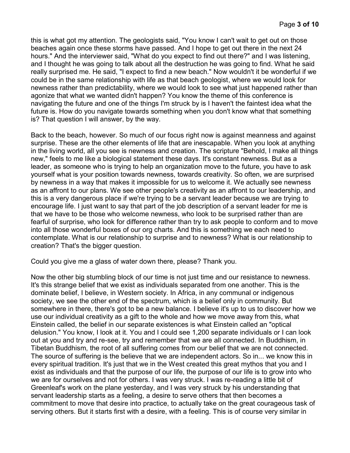this is what got my attention. The geologists said, "You know I can't wait to get out on those beaches again once these storms have passed. And I hope to get out there in the next 24 hours." And the interviewer said, "What do you expect to find out there?" and I was listening, and I thought he was going to talk about all the destruction he was going to find. What he said really surprised me. He said, "I expect to find a new beach." Now wouldn't it be wonderful if we could be in the same relationship with life as that beach geologist, where we would look for newness rather than predictability, where we would look to see what just happened rather than agonize that what we wanted didn't happen? You know the theme of this conference is navigating the future and one of the things I'm struck by is I haven't the faintest idea what the future is. How do you navigate towards something when you don't know what that something is? That question I will answer, by the way.

Back to the beach, however. So much of our focus right now is against meanness and against surprise. These are the other elements of life that are inescapable. When you look at anything in the living world, all you see is newness and creation. The scripture "Behold, I make all things new," feels to me like a biological statement these days. It's constant newness. But as a leader, as someone who is trying to help an organization move to the future, you have to ask yourself what is your position towards newness, towards creativity. So often, we are surprised by newness in a way that makes it impossible for us to welcome it. We actually see newness as an affront to our plans. We see other people's creativity as an affront to our leadership, and this is a very dangerous place if we're trying to be a servant leader because we are trying to encourage life. I just want to say that part of the job description of a servant leader for me is that we have to be those who welcome newness, who look to be surprised rather than are fearful of surprise, who look for difference rather than try to ask people to conform and to move into all those wonderful boxes of our org charts. And this is something we each need to contemplate. What is our relationship to surprise and to newness? What is our relationship to creation? That's the bigger question.

Could you give me a glass of water down there, please? Thank you.

Now the other big stumbling block of our time is not just time and our resistance to newness. It's this strange belief that we exist as individuals separated from one another. This is the dominate belief, I believe, in Western society. In Africa, in any communal or indigenous society, we see the other end of the spectrum, which is a belief only in community. But somewhere in there, there's got to be a new balance. I believe it's up to us to discover how we use our individual creativity as a gift to the whole and how we move away from this, what Einstein called, the belief in our separate existences is what Einstein called an "optical delusion." You know, I look at it. You and I could see 1,200 separate individuals or I can look out at you and try and re-see, try and remember that we are all connected. In Buddhism, in Tibetan Buddhism, the root of all suffering comes from our belief that we are not connected. The source of suffering is the believe that we are independent actors. So in... we know this in every spiritual tradition. It's just that we in the West created this great mythos that you and I exist as individuals and that the purpose of our life, the purpose of our life is to grow into who we are for ourselves and not for others. I was very struck. I was re-reading a little bit of Greenleaf's work on the plane yesterday, and I was very struck by his understanding that servant leadership starts as a feeling, a desire to serve others that then becomes a commitment to move that desire into practice, to actually take on the great courageous task of serving others. But it starts first with a desire, with a feeling. This is of course very similar in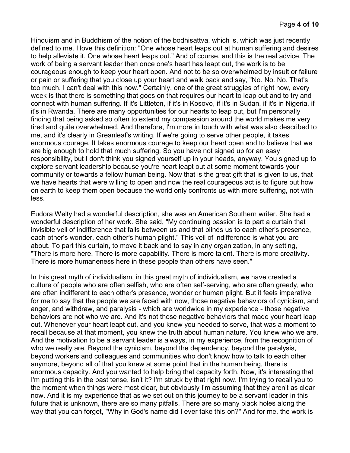Hinduism and in Buddhism of the notion of the bodhisattva, which is, which was just recently defined to me. I love this definition: "One whose heart leaps out at human suffering and desires to help alleviate it. One whose heart leaps out." And of course, and this is the real advice. The work of being a servant leader then once one's heart has leapt out, the work is to be courageous enough to keep your heart open. And not to be so overwhelmed by insult or failure or pain or suffering that you close up your heart and walk back and say, "No. No. No. That's too much. I can't deal with this now." Certainly, one of the great struggles of right now, every week is that there is something that goes on that requires our heart to leap out and to try and connect with human suffering. If it's Littleton, if it's in Kosovo, if it's in Sudan, if it's in Nigeria, if it's in Rwanda. There are many opportunities for our hearts to leap out, but I'm personally finding that being asked so often to extend my compassion around the world makes me very tired and quite overwhelmed. And therefore, I'm more in touch with what was also described to me, and it's clearly in Greanleaf's writing. If we're going to serve other people, it takes enormous courage. It takes enormous courage to keep our heart open and to believe that we are big enough to hold that much suffering. So you have not signed up for an easy responsibility, but I don't think you signed yourself up in your heads, anyway. You signed up to explore servant leadership because you're heart leapt out at some moment towards your community or towards a fellow human being. Now that is the great gift that is given to us, that we have hearts that were willing to open and now the real courageous act is to figure out how on earth to keep them open because the world only confronts us with more suffering, not with less.

Eudora Welty had a wonderful description, she was an American Southern writer. She had a wonderful description of her work. She said, "My continuing passion is to part a curtain that invisible veil of indifference that falls between us and that blinds us to each other's presence, each other's wonder, each other's human plight." This veil of indifference is what you are about. To part this curtain, to move it back and to say in any organization, in any setting, "There is more here. There is more capability. There is more talent. There is more creativity. There is more humaneness here in these people than others have seen."

In this great myth of individualism, in this great myth of individualism, we have created a culture of people who are often selfish, who are often self-serving, who are often greedy, who are often indifferent to each other's presence, wonder or human plight. But it feels imperative for me to say that the people we are faced with now, those negative behaviors of cynicism, and anger, and withdraw, and paralysis - which are worldwide in my experience - those negative behaviors are not who we are. And it's not those negative behaviors that made your heart leap out. Whenever your heart leapt out, and you knew you needed to serve, that was a moment to recall because at that moment, you knew the truth about human nature. You knew who we are. And the motivation to be a servant leader is always, in my experience, from the recognition of who we really are. Beyond the cynicism, beyond the dependency, beyond the paralysis, beyond workers and colleagues and communities who don't know how to talk to each other anymore, beyond all of that you knew at some point that in the human being, there is enormous capacity. And you wanted to help bring that capacity forth. Now, it's interesting that I'm putting this in the past tense, isn't it? I'm struck by that right now. I'm trying to recall you to the moment when things were most clear, but obviously I'm assuming that they aren't as clear now. And it is my experience that as we set out on this journey to be a servant leader in this future that is unknown, there are so many pitfalls. There are so many black holes along the way that you can forget, "Why in God's name did I ever take this on?" And for me, the work is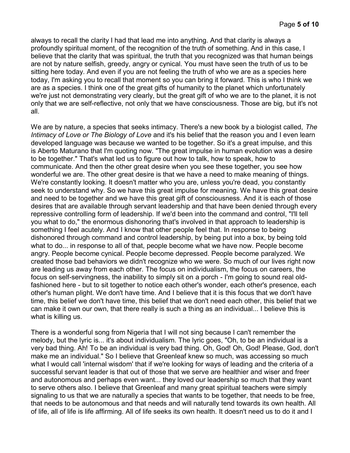always to recall the clarity I had that lead me into anything. And that clarity is always a profoundly spiritual moment, of the recognition of the truth of something. And in this case, I believe that the clarity that was spiritual, the truth that you recognized was that human beings are not by nature selfish, greedy, angry or cynical. You must have seen the truth of us to be sitting here today. And even if you are not feeling the truth of who we are as a species here today, I'm asking you to recall that moment so you can bring it forward. This is who I think we are as a species. I think one of the great gifts of humanity to the planet which unfortunately we're just not demonstrating very clearly, but the great gift of who we are to the planet, it is not only that we are self-reflective, not only that we have consciousness. Those are big, but it's not all.

We are by nature, a species that seeks intimacy. There's a new book by a biologist called, *The Intimacy of Love or The Biology of Love* and it's his belief that the reason you and I even learn developed language was because we wanted to be together. So it's a great impulse, and this is Aberto Maturano that I'm quoting now. "The great impulse in human evolution was a desire to be together." That's what led us to figure out how to talk, how to speak, how to communicate. And then the other great desire when you see these together, you see how wonderful we are. The other great desire is that we have a need to make meaning of things. We're constantly looking. It doesn't matter who you are, unless you're dead, you constantly seek to understand why. So we have this great impulse for meaning. We have this great desire and need to be together and we have this great gift of consciousness. And it is each of those desires that are available through servant leadership and that have been denied through every repressive controlling form of leadership. If we'd been into the command and control, "I'll tell you what to do," the enormous dishonoring that's involved in that approach to leadership is something I feel acutely. And I know that other people feel that. In response to being dishonored through command and control leadership, by being put into a box, by being told what to do... in response to all of that, people become what we have now. People become angry. People become cynical. People become depressed. People become paralyzed. We created those bad behaviors we didn't recognize who we were. So much of our lives right now are leading us away from each other. The focus on individualism, the focus on careers, the focus on self-servingness, the inability to simply sit on a porch - I'm going to sound real oldfashioned here - but to sit together to notice each other's wonder, each other's presence, each other's human plight. We don't have time. And I believe that it is this focus that we don't have time, this belief we don't have time, this belief that we don't need each other, this belief that we can make it own our own, that there really is such a thing as an individual... I believe this is what is killing us.

There is a wonderful song from Nigeria that I will not sing because I can't remember the melody, but the lyric is... it's about individualism. The lyric goes, "Oh, to be an individual is a very bad thing. Ah! To be an individual is very bad thing. Oh, God! Oh, God! Please, God, don't make me an individual." So I believe that Greenleaf knew so much, was accessing so much what I would call 'internal wisdom' that if we're looking for ways of leading and the criteria of a successful servant leader is that out of those that we serve are healthier and wiser and freer and autonomous and perhaps even want... they loved our leadership so much that they want to serve others also. I believe that Greenleaf and many great spiritual teachers were simply signaling to us that we are naturally a species that wants to be together, that needs to be free, that needs to be autonomous and that needs and will naturally tend towards its own health. All of life, all of life is life affirming. All of life seeks its own health. It doesn't need us to do it and I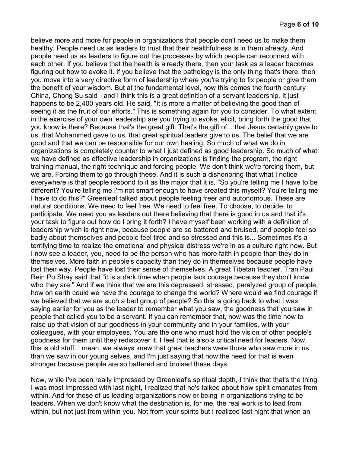believe more and more for people in organizations that people don't need us to make them healthy. People need us as leaders to trust that their healthfulness is in them already. And people need us as leaders to figure out the processes by which people can reconnect with each other. If you believe that the health is already there, then your task as a leader becomes figuring out how to evoke it. If you believe that the pathology is the only thing that's there, then you move into a very directive form of leadership where you're trying to fix people or give them the benefit of your wisdom. But at the fundamental level, now this comes the fourth century China, Chong Su said - and I think this is a great definition of a servant leadership. It just happens to be 2,400 years old. He said, "It is more a matter of believing the good than of seeing it as the fruit of our efforts." This is something again for you to consider. To what extent in the exercise of your own leadership are you trying to evoke, elicit, bring forth the good that you know is there? Because that's the great gift. That's the gift of... that Jesus certainly gave to us, that Mohammed gave to us, that great spiritual leaders give to us. The belief that we are good and that we can be responsible for our own healing. So much of what we do in organizations is completely counter to what I just defined as good leadership. So much of what we have defined as effective leadership in organizations is finding the program, the right training manual, the right technique and forcing people. We don't think we're forcing them, but we are. Forcing them to go through these. And it is such a dishonoring that what I notice everywhere is that people respond to it as the major that it is. "So you're telling me I have to be different? You're telling me I'm not smart enough to have created this myself? You're telling me I have to do this?" Greenleaf talked about people feeling freer and autonomous. These are natural conditions. We need to feel free. We need to feel free. To choose, to decide, to participate. We need you as leaders out there believing that there is good in us and that it's your task to figure out how do I bring it forth? I have myself been working with a definition of leadership which is right now, because people are so battered and bruised, and people feel so badly about themselves and people feel tired and so stressed and this is... Sometimes it's a terrifying time to realize the emotional and physical distress we're in as a culture right now. But I now see a leader, you, need to be the person who has more faith in people than they do in themselves. More faith in people's capacity than they do in themselves because people have lost their way. People have lost their sense of themselves. A great Tibetan teacher, Tran Paul Rein Po Shay said that "it is a dark time when people lack courage because they don't know who they are." And if we think that we are this depressed, stressed, paralyzed group of people, how on earth could we have the courage to change the world? Where would we find courage if we believed that we are such a bad group of people? So this is going back to what I was saying earlier for you as the leader to remember what you saw, the goodness that you saw in people that called you to be a servant. If you can remember that, now was the time now to raise up that vision of our goodness in your community and in your families, with your colleagues, with your employees. You are the one who must hold the vision of other people's goodness for them until they rediscover it. I feel that is also a critical need for leaders. Now, this is old stuff. I mean, we always knew that great teachers were those who saw more in us than we saw in our young selves, and I'm just saying that now the need for that is even stronger because people are so battered and bruised these days.

Now, while I've been really impressed by Greenleaf's spiritual depth, I think that that's the thing I was most impressed with last night, I realized that he's talked about how spirit emanates from within. And for those of us leading organizations now or being in organizations trying to be leaders. When we don't know what the destination is, for me, the real work is to lead from within, but not just from within you. Not from your spirits but I realized last night that when an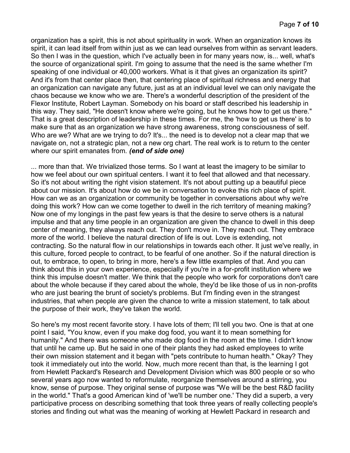organization has a spirit, this is not about spirituality in work. When an organization knows its spirit, it can lead itself from within just as we can lead ourselves from within as servant leaders. So then I was in the question, which I've actually been in for many years now, is... well, what's the source of organizational spirit. I'm going to assume that the need is the same whether I'm speaking of one individual or 40,000 workers. What is it that gives an organization its spirit? And it's from that center place then, that centering place of spiritual richness and energy that an organization can navigate any future, just as at an individual level we can only navigate the chaos because we know who we are. There's a wonderful description of the president of the Flexor Institute, Robert Layman. Somebody on his board or staff described his leadership in this way. They said, "He doesn't know where we're going, but he knows how to get us there." That is a great description of leadership in these times. For me, the 'how to get us there' is to make sure that as an organization we have strong awareness, strong consciousness of self. Who are we? What are we trying to do? It's... the need is to develop not a clear map that we navigate on, not a strategic plan, not a new org chart. The real work is to return to the center where our spirit emanates from. *(end of side one)*

... more than that. We trivialized those terms. So I want at least the imagery to be similar to how we feel about our own spiritual centers. I want it to feel that allowed and that necessary. So it's not about writing the right vision statement. It's not about putting up a beautiful piece about our mission. It's about how do we be in conversation to evoke this rich place of spirit. How can we as an organization or community be together in conversations about why we're doing this work? How can we come together to dwell in the rich territory of meaning making? Now one of my longings in the past few years is that the desire to serve others is a natural impulse and that any time people in an organization are given the chance to dwell in this deep center of meaning, they always reach out. They don't move in. They reach out. They embrace more of the world. I believe the natural direction of life is out. Love is extending, not contracting. So the natural flow in our relationships in towards each other. It just we've really, in this culture, forced people to contract, to be fearful of one another. So if the natural direction is out, to embrace, to open, to bring in more, here's a few little examples of that. And you can think about this in your own experience, especially if you're in a for-profit institution where we think this impulse doesn't matter. We think that the people who work for corporations don't care about the whole because if they cared about the whole, they'd be like those of us in non-profits who are just bearing the brunt of society's problems. But I'm finding even in the strangest industries, that when people are given the chance to write a mission statement, to talk about the purpose of their work, they've taken the world.

So here's my most recent favorite story. I have lots of them; I'll tell you two. One is that at one point I said, "You know, even if you make dog food, you want it to mean something for humanity." And there was someone who made dog food in the room at the time. I didn't know that until he came up. But he said in one of their plants they had asked employees to write their own mission statement and it began with "pets contribute to human health." Okay? They took it immediately out into the world. Now, much more recent than that, is the learning I got from Hewlett Packard's Research and Development Division which was 800 people or so who several years ago now wanted to reformulate, reorganize themselves around a stirring, you know, sense of purpose. They original sense of purpose was "We will be the best R&D facility in the world." That's a good American kind of 'we'll be number one.' They did a superb, a very participative process on describing something that took three years of really collecting people's stories and finding out what was the meaning of working at Hewlett Packard in research and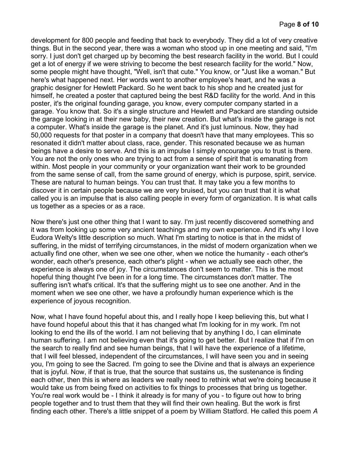development for 800 people and feeding that back to everybody. They did a lot of very creative things. But in the second year, there was a woman who stood up in one meeting and said, "I'm sorry. I just don't get charged up by becoming the best research facility in the world. But I could get a lot of energy if we were striving to become the best research facility for the world." Now, some people might have thought, "Well, isn't that cute." You know, or "Just like a woman." But here's what happened next. Her words went to another employee's heart, and he was a graphic designer for Hewlett Packard. So he went back to his shop and he created just for himself, he created a poster that captured being the best R&D facility for the world. And in this poster, it's the original founding garage, you know, every computer company started in a garage. You know that. So it's a single structure and Hewlett and Packard are standing outside the garage looking in at their new baby, their new creation. But what's inside the garage is not a computer. What's inside the garage is the planet. And it's just luminous. Now, they had 50,000 requests for that poster in a company that doesn't have that many employees. This so resonated it didn't matter about class, race, gender. This resonated because we as human beings have a desire to serve. And this is an impulse I simply encourage you to trust is there. You are not the only ones who are trying to act from a sense of spirit that is emanating from within. Most people in your community or your organization want their work to be grounded from the same sense of call, from the same ground of energy, which is purpose, spirit, service. These are natural to human beings. You can trust that. It may take you a few months to discover it in certain people because we are very bruised, but you can trust that it is what called you is an impulse that is also calling people in every form of organization. It is what calls us together as a species or as a race.

Now there's just one other thing that I want to say. I'm just recently discovered something and it was from looking up some very ancient teachings and my own experience. And it's why I love Eudora Welty's little description so much. What I'm starting to notice is that in the midst of suffering, in the midst of terrifying circumstances, in the midst of modern organization when we actually find one other, when we see one other, when we notice the humanity - each other's wonder, each other's presence, each other's plight - when we actually see each other, the experience is always one of joy. The circumstances don't seem to matter. This is the most hopeful thing thought I've been in for a long time. The circumstances don't matter. The suffering isn't what's critical. It's that the suffering might us to see one another. And in the moment when we see one other, we have a profoundly human experience which is the experience of joyous recognition.

Now, what I have found hopeful about this, and I really hope I keep believing this, but what I have found hopeful about this that it has changed what I'm looking for in my work. I'm not looking to end the ills of the world. I am not believing that by anything I do, I can eliminate human suffering. I am not believing even that it's going to get better. But I realize that if I'm on the search to really find and see human beings, that I will have the experience of a lifetime, that I will feel blessed, independent of the circumstances, I will have seen you and in seeing you, I'm going to see the Sacred. I'm going to see the Divine and that is always an experience that is joyful. Now, if that is true, that the source that sustains us, the sustenance is finding each other, then this is where as leaders we really need to rethink what we're doing because it would take us from being fixed on activities to fix things to processes that bring us together. You're real work would be - I think it already is for many of you - to figure out how to bring people together and to trust them that they will find their own healing. But the work is first finding each other. There's a little snippet of a poem by William Statford. He called this poem *A*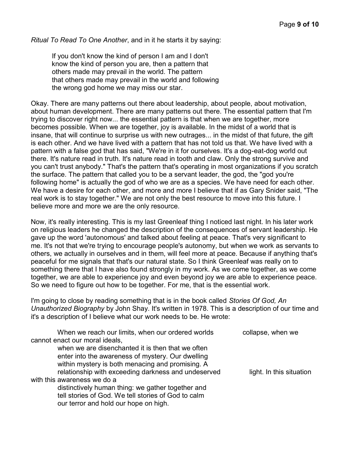*Ritual To Read To One Another*, and in it he starts it by saying:

 If you don't know the kind of person I am and I don't know the kind of person you are, then a pattern that others made may prevail in the world. The pattern that others made may prevail in the world and following the wrong god home we may miss our star.

Okay. There are many patterns out there about leadership, about people, about motivation, about human development. There are many patterns out there. The essential pattern that I'm trying to discover right now... the essential pattern is that when we are together, more becomes possible. When we are together, joy is available. In the midst of a world that is insane, that will continue to surprise us with new outrages... in the midst of that future, the gift is each other. And we have lived with a pattern that has not told us that. We have lived with a pattern with a false god that has said, "We're in it for ourselves. It's a dog-eat-dog world out there. It's nature read in truth. It's nature read in tooth and claw. Only the strong survive and you can't trust anybody." That's the pattern that's operating in most organizations if you scratch the surface. The pattern that called you to be a servant leader, the god, the "god you're following home" is actually the god of who we are as a species. We have need for each other. We have a desire for each other, and more and more I believe that if as Gary Snider said, "The real work is to stay together." We are not only the best resource to move into this future. I believe more and more we are the only resource.

Now, it's really interesting. This is my last Greenleaf thing I noticed last night. In his later work on religious leaders he changed the description of the consequences of servant leadership. He gave up the word 'autonomous' and talked about feeling at peace. That's very significant to me. It's not that we're trying to encourage people's autonomy, but when we work as servants to others, we actually in ourselves and in them, will feel more at peace. Because if anything that's peaceful for me signals that that's our natural state. So I think Greenleaf was really on to something there that I have also found strongly in my work. As we come together, as we come together, we are able to experience joy and even beyond joy we are able to experience peace. So we need to figure out how to be together. For me, that is the essential work.

I'm going to close by reading something that is in the book called *Stories Of God, An Unauthorized Biography* by John Shay. It's written in 1978. This is a description of our time and it's a description of I believe what our work needs to be. He wrote:

| When we reach our limits, when our ordered worlds   | collapse, when we        |
|-----------------------------------------------------|--------------------------|
| cannot enact our moral ideals.                      |                          |
| when we are disenchanted it is then that we often   |                          |
| enter into the awareness of mystery. Our dwelling   |                          |
| within mystery is both menacing and promising. A    |                          |
| relationship with exceeding darkness and undeserved | light. In this situation |
| with this awareness we do a                         |                          |
| distinctively human thing: we gather together and   |                          |
| tell stories of God. We tell stories of God to calm |                          |
| our terror and hold our hope on high.               |                          |